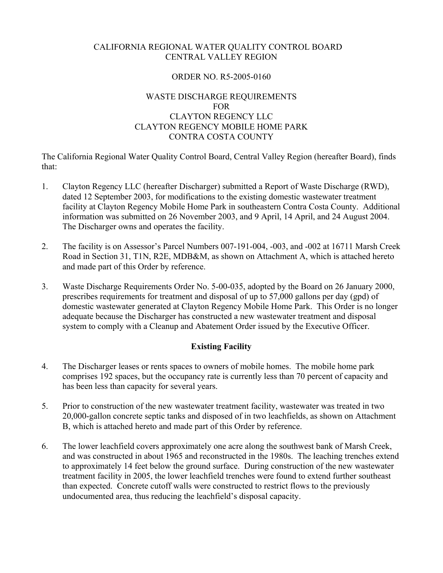### CALIFORNIA REGIONAL WATER QUALITY CONTROL BOARD CENTRAL VALLEY REGION

# ORDER NO. R5-2005-0160

## WASTE DISCHARGE REQUIREMENTS FOR CLAYTON REGENCY LLC CLAYTON REGENCY MOBILE HOME PARK CONTRA COSTA COUNTY

The California Regional Water Quality Control Board, Central Valley Region (hereafter Board), finds that:

- 1. Clayton Regency LLC (hereafter Discharger) submitted a Report of Waste Discharge (RWD), dated 12 September 2003, for modifications to the existing domestic wastewater treatment facility at Clayton Regency Mobile Home Park in southeastern Contra Costa County. Additional information was submitted on 26 November 2003, and 9 April, 14 April, and 24 August 2004. The Discharger owns and operates the facility.
- 2. The facility is on Assessor's Parcel Numbers 007-191-004, -003, and -002 at 16711 Marsh Creek Road in Section 31, T1N, R2E, MDB&M, as shown on Attachment A, which is attached hereto and made part of this Order by reference.
- 3. Waste Discharge Requirements Order No. 5-00-035, adopted by the Board on 26 January 2000, prescribes requirements for treatment and disposal of up to 57,000 gallons per day (gpd) of domestic wastewater generated at Clayton Regency Mobile Home Park. This Order is no longer adequate because the Discharger has constructed a new wastewater treatment and disposal system to comply with a Cleanup and Abatement Order issued by the Executive Officer.

# **Existing Facility**

- 4. The Discharger leases or rents spaces to owners of mobile homes. The mobile home park comprises 192 spaces, but the occupancy rate is currently less than 70 percent of capacity and has been less than capacity for several years.
- 5. Prior to construction of the new wastewater treatment facility, wastewater was treated in two 20,000-gallon concrete septic tanks and disposed of in two leachfields, as shown on Attachment B, which is attached hereto and made part of this Order by reference.
- 6. The lower leachfield covers approximately one acre along the southwest bank of Marsh Creek, and was constructed in about 1965 and reconstructed in the 1980s. The leaching trenches extend to approximately 14 feet below the ground surface. During construction of the new wastewater treatment facility in 2005, the lower leachfield trenches were found to extend further southeast than expected. Concrete cutoff walls were constructed to restrict flows to the previously undocumented area, thus reducing the leachfield's disposal capacity.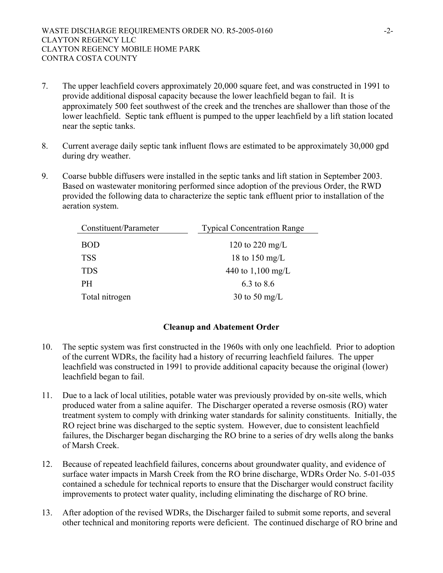- 7. The upper leachfield covers approximately 20,000 square feet, and was constructed in 1991 to provide additional disposal capacity because the lower leachfield began to fail. It is approximately 500 feet southwest of the creek and the trenches are shallower than those of the lower leachfield. Septic tank effluent is pumped to the upper leachfield by a lift station located near the septic tanks.
- 8. Current average daily septic tank influent flows are estimated to be approximately 30,000 gpd during dry weather.
- 9. Coarse bubble diffusers were installed in the septic tanks and lift station in September 2003. Based on wastewater monitoring performed since adoption of the previous Order, the RWD provided the following data to characterize the septic tank effluent prior to installation of the aeration system.

| Constituent/Parameter | <b>Typical Concentration Range</b> |  |
|-----------------------|------------------------------------|--|
| <b>BOD</b>            | 120 to 220 mg/L                    |  |
| <b>TSS</b>            | 18 to 150 mg/L                     |  |
| <b>TDS</b>            | 440 to 1,100 mg/L                  |  |
| <b>PH</b>             | 6.3 to 8.6                         |  |
| Total nitrogen        | 30 to 50 mg/L                      |  |

# **Cleanup and Abatement Order**

- 10. The septic system was first constructed in the 1960s with only one leachfield. Prior to adoption of the current WDRs, the facility had a history of recurring leachfield failures. The upper leachfield was constructed in 1991 to provide additional capacity because the original (lower) leachfield began to fail.
- 11. Due to a lack of local utilities, potable water was previously provided by on-site wells, which produced water from a saline aquifer. The Discharger operated a reverse osmosis (RO) water treatment system to comply with drinking water standards for salinity constituents. Initially, the RO reject brine was discharged to the septic system. However, due to consistent leachfield failures, the Discharger began discharging the RO brine to a series of dry wells along the banks of Marsh Creek.
- 12. Because of repeated leachfield failures, concerns about groundwater quality, and evidence of surface water impacts in Marsh Creek from the RO brine discharge, WDRs Order No. 5-01-035 contained a schedule for technical reports to ensure that the Discharger would construct facility improvements to protect water quality, including eliminating the discharge of RO brine.
- 13. After adoption of the revised WDRs, the Discharger failed to submit some reports, and several other technical and monitoring reports were deficient. The continued discharge of RO brine and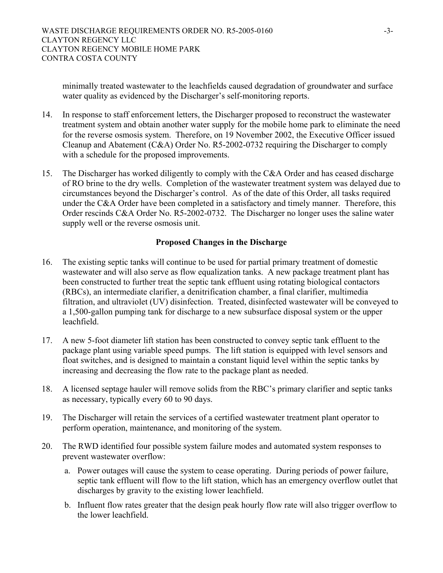minimally treated wastewater to the leachfields caused degradation of groundwater and surface water quality as evidenced by the Discharger's self-monitoring reports.

- 14. In response to staff enforcement letters, the Discharger proposed to reconstruct the wastewater treatment system and obtain another water supply for the mobile home park to eliminate the need for the reverse osmosis system. Therefore, on 19 November 2002, the Executive Officer issued Cleanup and Abatement (C&A) Order No. R5-2002-0732 requiring the Discharger to comply with a schedule for the proposed improvements.
- 15. The Discharger has worked diligently to comply with the C&A Order and has ceased discharge of RO brine to the dry wells. Completion of the wastewater treatment system was delayed due to circumstances beyond the Discharger's control. As of the date of this Order, all tasks required under the C&A Order have been completed in a satisfactory and timely manner. Therefore, this Order rescinds C&A Order No. R5-2002-0732. The Discharger no longer uses the saline water supply well or the reverse osmosis unit.

### **Proposed Changes in the Discharge**

- 16. The existing septic tanks will continue to be used for partial primary treatment of domestic wastewater and will also serve as flow equalization tanks. A new package treatment plant has been constructed to further treat the septic tank effluent using rotating biological contactors (RBCs), an intermediate clarifier, a denitrification chamber, a final clarifier, multimedia filtration, and ultraviolet (UV) disinfection. Treated, disinfected wastewater will be conveyed to a 1,500-gallon pumping tank for discharge to a new subsurface disposal system or the upper leachfield.
- 17. A new 5-foot diameter lift station has been constructed to convey septic tank effluent to the package plant using variable speed pumps. The lift station is equipped with level sensors and float switches, and is designed to maintain a constant liquid level within the septic tanks by increasing and decreasing the flow rate to the package plant as needed.
- 18. A licensed septage hauler will remove solids from the RBC's primary clarifier and septic tanks as necessary, typically every 60 to 90 days.
- 19. The Discharger will retain the services of a certified wastewater treatment plant operator to perform operation, maintenance, and monitoring of the system.
- 20. The RWD identified four possible system failure modes and automated system responses to prevent wastewater overflow:
	- a. Power outages will cause the system to cease operating. During periods of power failure, septic tank effluent will flow to the lift station, which has an emergency overflow outlet that discharges by gravity to the existing lower leachfield.
	- b. Influent flow rates greater that the design peak hourly flow rate will also trigger overflow to the lower leachfield.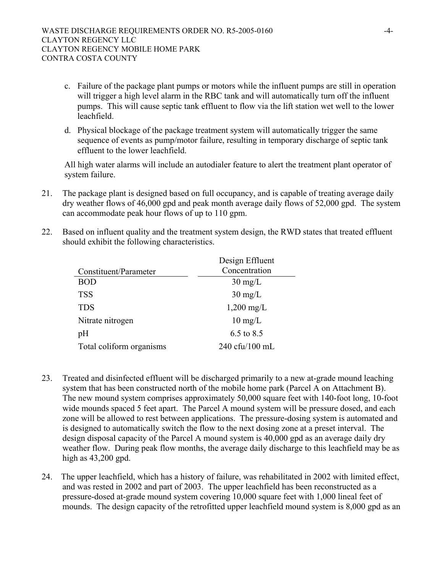- c. Failure of the package plant pumps or motors while the influent pumps are still in operation will trigger a high level alarm in the RBC tank and will automatically turn off the influent pumps. This will cause septic tank effluent to flow via the lift station wet well to the lower leachfield.
- d. Physical blockage of the package treatment system will automatically trigger the same sequence of events as pump/motor failure, resulting in temporary discharge of septic tank effluent to the lower leachfield.

All high water alarms will include an autodialer feature to alert the treatment plant operator of system failure.

- 21. The package plant is designed based on full occupancy, and is capable of treating average daily dry weather flows of 46,000 gpd and peak month average daily flows of 52,000 gpd. The system can accommodate peak hour flows of up to 110 gpm.
- 22. Based on influent quality and the treatment system design, the RWD states that treated effluent should exhibit the following characteristics.

| Design Effluent      |
|----------------------|
| Concentration        |
| $30 \text{ mg/L}$    |
| $30 \text{ mg/L}$    |
| $1,200 \text{ mg/L}$ |
| $10 \text{ mg/L}$    |
| 6.5 to 8.5           |
| 240 cfu/100 mL       |
|                      |

- 23. Treated and disinfected effluent will be discharged primarily to a new at-grade mound leaching system that has been constructed north of the mobile home park (Parcel A on Attachment B). The new mound system comprises approximately 50,000 square feet with 140-foot long, 10-foot wide mounds spaced 5 feet apart. The Parcel A mound system will be pressure dosed, and each zone will be allowed to rest between applications. The pressure-dosing system is automated and is designed to automatically switch the flow to the next dosing zone at a preset interval. The design disposal capacity of the Parcel A mound system is 40,000 gpd as an average daily dry weather flow. During peak flow months, the average daily discharge to this leachfield may be as high as 43,200 gpd.
- 24. The upper leachfield, which has a history of failure, was rehabilitated in 2002 with limited effect, and was rested in 2002 and part of 2003. The upper leachfield has been reconstructed as a pressure-dosed at-grade mound system covering 10,000 square feet with 1,000 lineal feet of mounds. The design capacity of the retrofitted upper leachfield mound system is 8,000 gpd as an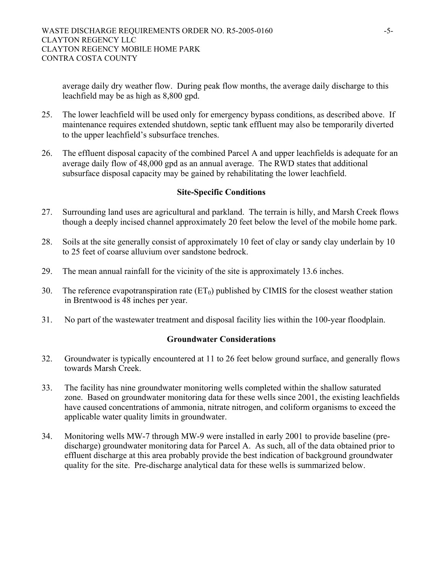average daily dry weather flow. During peak flow months, the average daily discharge to this leachfield may be as high as 8,800 gpd.

- 25. The lower leachfield will be used only for emergency bypass conditions, as described above. If maintenance requires extended shutdown, septic tank effluent may also be temporarily diverted to the upper leachfield's subsurface trenches.
- 26. The effluent disposal capacity of the combined Parcel A and upper leachfields is adequate for an average daily flow of 48,000 gpd as an annual average. The RWD states that additional subsurface disposal capacity may be gained by rehabilitating the lower leachfield.

### **Site-Specific Conditions**

- 27. Surrounding land uses are agricultural and parkland. The terrain is hilly, and Marsh Creek flows though a deeply incised channel approximately 20 feet below the level of the mobile home park.
- 28. Soils at the site generally consist of approximately 10 feet of clay or sandy clay underlain by 10 to 25 feet of coarse alluvium over sandstone bedrock.
- 29. The mean annual rainfall for the vicinity of the site is approximately 13.6 inches.
- 30. The reference evapotranspiration rate  $(ET_0)$  published by CIMIS for the closest weather station in Brentwood is 48 inches per year.
- 31. No part of the wastewater treatment and disposal facility lies within the 100-year floodplain.

### **Groundwater Considerations**

- 32. Groundwater is typically encountered at 11 to 26 feet below ground surface, and generally flows towards Marsh Creek.
- 33. The facility has nine groundwater monitoring wells completed within the shallow saturated zone. Based on groundwater monitoring data for these wells since 2001, the existing leachfields have caused concentrations of ammonia, nitrate nitrogen, and coliform organisms to exceed the applicable water quality limits in groundwater.
- 34. Monitoring wells MW-7 through MW-9 were installed in early 2001 to provide baseline (predischarge) groundwater monitoring data for Parcel A. As such, all of the data obtained prior to effluent discharge at this area probably provide the best indication of background groundwater quality for the site. Pre-discharge analytical data for these wells is summarized below.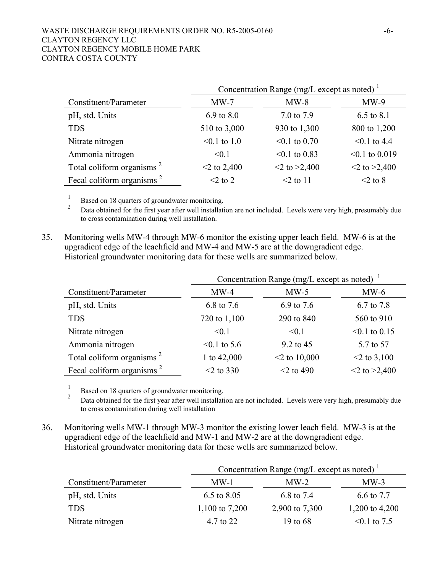#### WASTE DISCHARGE REQUIREMENTS ORDER NO. R5-2005-0160 -6-CLAYTON REGENCY LLC CLAYTON REGENCY MOBILE HOME PARK CONTRA COSTA COUNTY

|                                       | Concentration Range (mg/L except as noted) $1$ |                    |                     |  |
|---------------------------------------|------------------------------------------------|--------------------|---------------------|--|
| Constituent/Parameter                 | $MW-7$                                         | $MW-8$             | $MW-9$              |  |
| pH, std. Units                        | $6.9 \text{ to } 8.0$                          | 7.0 to 7.9         | 6.5 to 8.1          |  |
| <b>TDS</b>                            | 510 to 3,000                                   | 930 to 1,300       | 800 to 1,200        |  |
| Nitrate nitrogen                      | $< 0.1$ to 1.0                                 | $< 0.1$ to 0.70    | $\leq 0.1$ to 4.4   |  |
| Ammonia nitrogen                      | < 0.1                                          | $< 0.1$ to 0.83    | $\leq 0.1$ to 0.019 |  |
| Total coliform organisms <sup>2</sup> | $<$ 2 to 2,400                                 | $<$ 2 to $>$ 2,400 | $<$ 2 to $>$ 2,400  |  |
| Fecal coliform organisms <sup>2</sup> | $<$ 2 to 2                                     | $\leq$ 2 to 11     | $<$ 2 to 8          |  |

 1  $\frac{1}{2}$  Based on 18 quarters of groundwater monitoring.

<sup>2</sup> Data obtained for the first year after well installation are not included. Levels were very high, presumably due to cross contamination during well installation.

35. Monitoring wells MW-4 through MW-6 monitor the existing upper leach field. MW-6 is at the upgradient edge of the leachfield and MW-4 and MW-5 are at the downgradient edge. Historical groundwater monitoring data for these wells are summarized below.

|                                       | Concentration Range (mg/L except as noted) $\frac{1}{1}$ |                 |                    |  |
|---------------------------------------|----------------------------------------------------------|-----------------|--------------------|--|
| Constituent/Parameter                 | $MW-4$                                                   | $MW-5$          | $MW-6$             |  |
| pH, std. Units                        | 6.8 to 7.6                                               | 6.9 to 7.6      | 6.7 to 7.8         |  |
| <b>TDS</b>                            | 720 to 1,100                                             | 290 to 840      | 560 to 910         |  |
| Nitrate nitrogen                      | < 0.1                                                    | < 0.1           | $< 0.1$ to 0.15    |  |
| Ammonia nitrogen                      | $< 0.1$ to 5.6                                           | 9.2 to 45       | 5.7 to 57          |  |
| Total coliform organisms <sup>2</sup> | 1 to 42,000                                              | $<$ 2 to 10,000 | $<$ 2 to 3,100     |  |
| Fecal coliform organisms <sup>2</sup> | $<$ 2 to 330                                             | $<$ 2 to 490    | $<$ 2 to $>$ 2,400 |  |

 1 Based on 18 quarters of groundwater monitoring.

<sup>2</sup> Data obtained for the first year after well installation are not included. Levels were very high, presumably due to cross contamination during well installation

36. Monitoring wells MW-1 through MW-3 monitor the existing lower leach field. MW-3 is at the upgradient edge of the leachfield and MW-1 and MW-2 are at the downgradient edge. Historical groundwater monitoring data for these wells are summarized below.

|                       | Concentration Range (mg/L except as noted) $1$ |                |                   |  |
|-----------------------|------------------------------------------------|----------------|-------------------|--|
| Constituent/Parameter | $MW-1$                                         | $MW-2$         | $MW-3$            |  |
| pH, std. Units        | $6.5 \text{ to } 8.05$                         | 6.8 to 7.4     | 6.6 to 7.7        |  |
| <b>TDS</b>            | 1,100 to 7,200                                 | 2,900 to 7,300 | 1,200 to 4,200    |  |
| Nitrate nitrogen      | 4.7 to 22                                      | 19 to 68       | $\leq 0.1$ to 7.5 |  |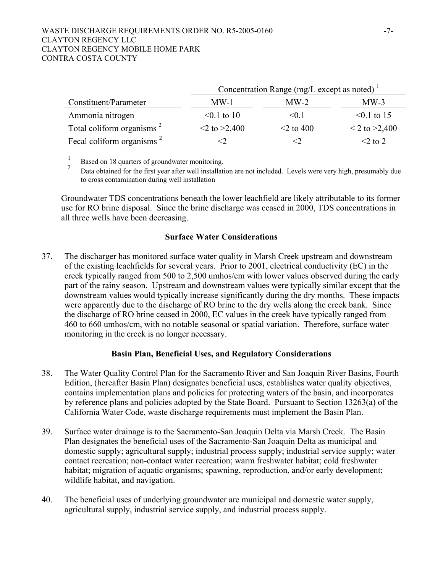#### WASTE DISCHARGE REQUIREMENTS ORDER NO. R5-2005-0160 -7-CLAYTON REGENCY LLC CLAYTON REGENCY MOBILE HOME PARK CONTRA COSTA COUNTY

|                                       | Concentration Range (mg/L except as noted) $1$ |                 |                    |  |
|---------------------------------------|------------------------------------------------|-----------------|--------------------|--|
| Constituent/Parameter                 | $MW-1$                                         | $MW-2$          | $MW-3$             |  |
| Ammonia nitrogen                      | $< 0.1$ to 10                                  | $\leq 0.1$      | $\leq 0.1$ to 15   |  |
| Total coliform organisms <sup>2</sup> | $\leq$ to $\geq$ 2,400                         | $\leq$ 2 to 400 | $<$ 2 to $>$ 2,400 |  |
| Fecal coliform organisms <sup>2</sup> |                                                |                 | $\leq$ 2 to 2      |  |

 1  $\frac{1}{2}$  Based on 18 quarters of groundwater monitoring.

<sup>2</sup> Data obtained for the first year after well installation are not included. Levels were very high, presumably due to cross contamination during well installation

Groundwater TDS concentrations beneath the lower leachfield are likely attributable to its former use for RO brine disposal. Since the brine discharge was ceased in 2000, TDS concentrations in all three wells have been decreasing.

### **Surface Water Considerations**

37. The discharger has monitored surface water quality in Marsh Creek upstream and downstream of the existing leachfields for several years. Prior to 2001, electrical conductivity (EC) in the creek typically ranged from 500 to 2,500 umhos/cm with lower values observed during the early part of the rainy season. Upstream and downstream values were typically similar except that the downstream values would typically increase significantly during the dry months. These impacts were apparently due to the discharge of RO brine to the dry wells along the creek bank. Since the discharge of RO brine ceased in 2000, EC values in the creek have typically ranged from 460 to 660 umhos/cm, with no notable seasonal or spatial variation. Therefore, surface water monitoring in the creek is no longer necessary.

### **Basin Plan, Beneficial Uses, and Regulatory Considerations**

- 38. The Water Quality Control Plan for the Sacramento River and San Joaquin River Basins, Fourth Edition, (hereafter Basin Plan) designates beneficial uses, establishes water quality objectives, contains implementation plans and policies for protecting waters of the basin, and incorporates by reference plans and policies adopted by the State Board. Pursuant to Section 13263(a) of the California Water Code, waste discharge requirements must implement the Basin Plan.
- 39. Surface water drainage is to the Sacramento-San Joaquin Delta via Marsh Creek. The Basin Plan designates the beneficial uses of the Sacramento-San Joaquin Delta as municipal and domestic supply; agricultural supply; industrial process supply; industrial service supply; water contact recreation; non-contact water recreation; warm freshwater habitat; cold freshwater habitat; migration of aquatic organisms; spawning, reproduction, and/or early development; wildlife habitat, and navigation.
- 40. The beneficial uses of underlying groundwater are municipal and domestic water supply, agricultural supply, industrial service supply, and industrial process supply.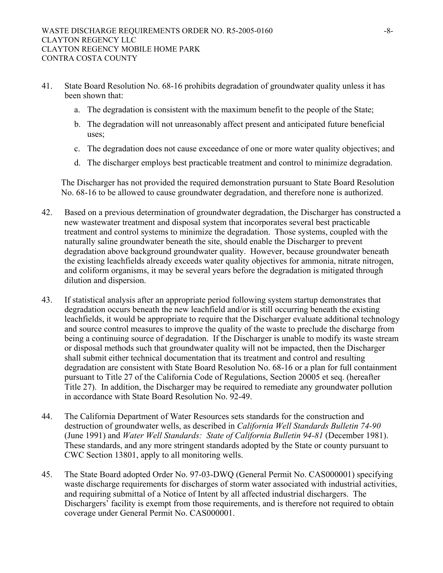- 41. State Board Resolution No. 68-16 prohibits degradation of groundwater quality unless it has been shown that:
	- a. The degradation is consistent with the maximum benefit to the people of the State;
	- b. The degradation will not unreasonably affect present and anticipated future beneficial uses;
	- c. The degradation does not cause exceedance of one or more water quality objectives; and
	- d. The discharger employs best practicable treatment and control to minimize degradation.

The Discharger has not provided the required demonstration pursuant to State Board Resolution No. 68-16 to be allowed to cause groundwater degradation, and therefore none is authorized.

- 42. Based on a previous determination of groundwater degradation, the Discharger has constructed a new wastewater treatment and disposal system that incorporates several best practicable treatment and control systems to minimize the degradation. Those systems, coupled with the naturally saline groundwater beneath the site, should enable the Discharger to prevent degradation above background groundwater quality. However, because groundwater beneath the existing leachfields already exceeds water quality objectives for ammonia, nitrate nitrogen, and coliform organisms, it may be several years before the degradation is mitigated through dilution and dispersion.
- 43. If statistical analysis after an appropriate period following system startup demonstrates that degradation occurs beneath the new leachfield and/or is still occurring beneath the existing leachfields, it would be appropriate to require that the Discharger evaluate additional technology and source control measures to improve the quality of the waste to preclude the discharge from being a continuing source of degradation. If the Discharger is unable to modify its waste stream or disposal methods such that groundwater quality will not be impacted, then the Discharger shall submit either technical documentation that its treatment and control and resulting degradation are consistent with State Board Resolution No. 68-16 or a plan for full containment pursuant to Title 27 of the California Code of Regulations, Section 20005 et seq. (hereafter Title 27). In addition, the Discharger may be required to remediate any groundwater pollution in accordance with State Board Resolution No. 92-49.
- 44. The California Department of Water Resources sets standards for the construction and destruction of groundwater wells, as described in *California Well Standards Bulletin 74-90* (June 1991) and *Water Well Standards: State of California Bulletin 94-81* (December 1981). These standards, and any more stringent standards adopted by the State or county pursuant to CWC Section 13801, apply to all monitoring wells.
- 45. The State Board adopted Order No. 97-03-DWQ (General Permit No. CAS000001) specifying waste discharge requirements for discharges of storm water associated with industrial activities, and requiring submittal of a Notice of Intent by all affected industrial dischargers. The Dischargers' facility is exempt from those requirements, and is therefore not required to obtain coverage under General Permit No. CAS000001.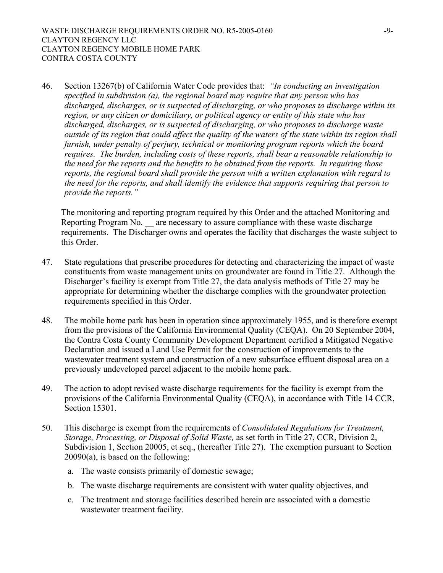46. Section 13267(b) of California Water Code provides that: *"In conducting an investigation specified in subdivision (a), the regional board may require that any person who has discharged, discharges, or is suspected of discharging, or who proposes to discharge within its region, or any citizen or domiciliary, or political agency or entity of this state who has discharged, discharges, or is suspected of discharging, or who proposes to discharge waste outside of its region that could affect the quality of the waters of the state within its region shall furnish, under penalty of perjury, technical or monitoring program reports which the board requires. The burden, including costs of these reports, shall bear a reasonable relationship to the need for the reports and the benefits to be obtained from the reports. In requiring those reports, the regional board shall provide the person with a written explanation with regard to the need for the reports, and shall identify the evidence that supports requiring that person to provide the reports."* 

The monitoring and reporting program required by this Order and the attached Monitoring and Reporting Program No. — are necessary to assure compliance with these waste discharge requirements. The Discharger owns and operates the facility that discharges the waste subject to this Order.

- 47. State regulations that prescribe procedures for detecting and characterizing the impact of waste constituents from waste management units on groundwater are found in Title 27. Although the Discharger's facility is exempt from Title 27, the data analysis methods of Title 27 may be appropriate for determining whether the discharge complies with the groundwater protection requirements specified in this Order.
- 48. The mobile home park has been in operation since approximately 1955, and is therefore exempt from the provisions of the California Environmental Quality (CEQA). On 20 September 2004, the Contra Costa County Community Development Department certified a Mitigated Negative Declaration and issued a Land Use Permit for the construction of improvements to the wastewater treatment system and construction of a new subsurface effluent disposal area on a previously undeveloped parcel adjacent to the mobile home park.
- 49. The action to adopt revised waste discharge requirements for the facility is exempt from the provisions of the California Environmental Quality (CEQA), in accordance with Title 14 CCR, Section 15301.
- 50. This discharge is exempt from the requirements of *Consolidated Regulations for Treatment, Storage, Processing, or Disposal of Solid Waste,* as set forth in Title 27, CCR, Division 2, Subdivision 1, Section 20005, et seq., (hereafter Title 27). The exemption pursuant to Section 20090(a), is based on the following:
	- a. The waste consists primarily of domestic sewage;
	- b. The waste discharge requirements are consistent with water quality objectives, and
	- c. The treatment and storage facilities described herein are associated with a domestic wastewater treatment facility.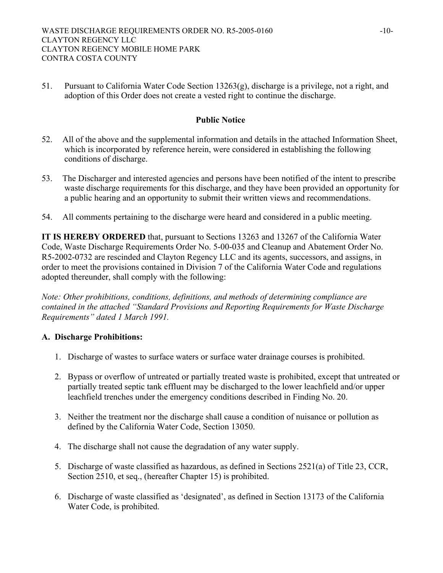51. Pursuant to California Water Code Section 13263(g), discharge is a privilege, not a right, and adoption of this Order does not create a vested right to continue the discharge.

# **Public Notice**

- 52. All of the above and the supplemental information and details in the attached Information Sheet, which is incorporated by reference herein, were considered in establishing the following conditions of discharge.
- 53. The Discharger and interested agencies and persons have been notified of the intent to prescribe waste discharge requirements for this discharge, and they have been provided an opportunity for a public hearing and an opportunity to submit their written views and recommendations.
- 54. All comments pertaining to the discharge were heard and considered in a public meeting.

**IT IS HEREBY ORDERED** that, pursuant to Sections 13263 and 13267 of the California Water Code, Waste Discharge Requirements Order No. 5-00-035 and Cleanup and Abatement Order No. R5-2002-0732 are rescinded and Clayton Regency LLC and its agents, successors, and assigns, in order to meet the provisions contained in Division 7 of the California Water Code and regulations adopted thereunder, shall comply with the following:

*Note: Other prohibitions, conditions, definitions, and methods of determining compliance are contained in the attached "Standard Provisions and Reporting Requirements for Waste Discharge Requirements" dated 1 March 1991.* 

# **A. Discharge Prohibitions:**

- 1. Discharge of wastes to surface waters or surface water drainage courses is prohibited.
- 2. Bypass or overflow of untreated or partially treated waste is prohibited, except that untreated or partially treated septic tank effluent may be discharged to the lower leachfield and/or upper leachfield trenches under the emergency conditions described in Finding No. 20.
- 3. Neither the treatment nor the discharge shall cause a condition of nuisance or pollution as defined by the California Water Code, Section 13050.
- 4. The discharge shall not cause the degradation of any water supply.
- 5. Discharge of waste classified as hazardous, as defined in Sections 2521(a) of Title 23, CCR, Section 2510, et seq., (hereafter Chapter 15) is prohibited.
- 6. Discharge of waste classified as 'designated', as defined in Section 13173 of the California Water Code, is prohibited.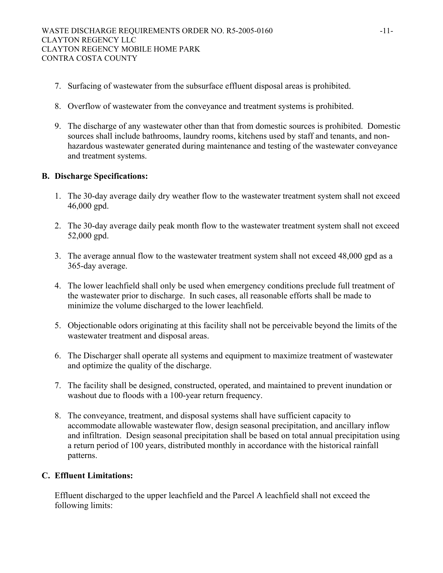- 7. Surfacing of wastewater from the subsurface effluent disposal areas is prohibited.
- 8. Overflow of wastewater from the conveyance and treatment systems is prohibited.
- 9. The discharge of any wastewater other than that from domestic sources is prohibited. Domestic sources shall include bathrooms, laundry rooms, kitchens used by staff and tenants, and nonhazardous wastewater generated during maintenance and testing of the wastewater conveyance and treatment systems.

# **B. Discharge Specifications:**

- 1. The 30-day average daily dry weather flow to the wastewater treatment system shall not exceed 46,000 gpd.
- 2. The 30-day average daily peak month flow to the wastewater treatment system shall not exceed 52,000 gpd.
- 3. The average annual flow to the wastewater treatment system shall not exceed 48,000 gpd as a 365-day average.
- 4. The lower leachfield shall only be used when emergency conditions preclude full treatment of the wastewater prior to discharge. In such cases, all reasonable efforts shall be made to minimize the volume discharged to the lower leachfield.
- 5. Objectionable odors originating at this facility shall not be perceivable beyond the limits of the wastewater treatment and disposal areas.
- 6. The Discharger shall operate all systems and equipment to maximize treatment of wastewater and optimize the quality of the discharge.
- 7. The facility shall be designed, constructed, operated, and maintained to prevent inundation or washout due to floods with a 100-year return frequency.
- 8. The conveyance, treatment, and disposal systems shall have sufficient capacity to accommodate allowable wastewater flow, design seasonal precipitation, and ancillary inflow and infiltration. Design seasonal precipitation shall be based on total annual precipitation using a return period of 100 years, distributed monthly in accordance with the historical rainfall patterns.

# **C. Effluent Limitations:**

Effluent discharged to the upper leachfield and the Parcel A leachfield shall not exceed the following limits: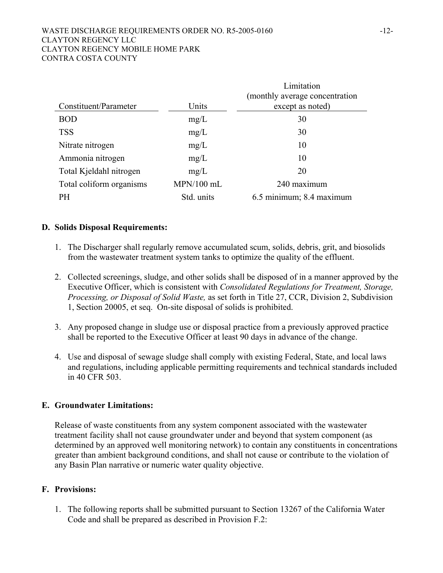#### WASTE DISCHARGE REQUIREMENTS ORDER NO. R5-2005-0160 -12-CLAYTON REGENCY LLC CLAYTON REGENCY MOBILE HOME PARK CONTRA COSTA COUNTY

|                          |            | Limitation                      |
|--------------------------|------------|---------------------------------|
|                          |            | (monthly average concentration) |
| Constituent/Parameter    | Units      | except as noted)                |
| <b>BOD</b>               | mg/L       | 30                              |
| <b>TSS</b>               | mg/L       | 30                              |
| Nitrate nitrogen         | mg/L       | 10                              |
| Ammonia nitrogen         | mg/L       | 10                              |
| Total Kjeldahl nitrogen  | mg/L       | 20                              |
| Total coliform organisms | MPN/100 mL | 240 maximum                     |
| PH                       | Std. units | 6.5 minimum; 8.4 maximum        |

# **D. Solids Disposal Requirements:**

- 1. The Discharger shall regularly remove accumulated scum, solids, debris, grit, and biosolids from the wastewater treatment system tanks to optimize the quality of the effluent.
- 2. Collected screenings, sludge, and other solids shall be disposed of in a manner approved by the Executive Officer, which is consistent with *Consolidated Regulations for Treatment, Storage, Processing, or Disposal of Solid Waste,* as set forth in Title 27, CCR, Division 2, Subdivision 1, Section 20005, et seq. On-site disposal of solids is prohibited.
- 3. Any proposed change in sludge use or disposal practice from a previously approved practice shall be reported to the Executive Officer at least 90 days in advance of the change.
- 4. Use and disposal of sewage sludge shall comply with existing Federal, State, and local laws and regulations, including applicable permitting requirements and technical standards included in 40 CFR 503.

### **E. Groundwater Limitations:**

Release of waste constituents from any system component associated with the wastewater treatment facility shall not cause groundwater under and beyond that system component (as determined by an approved well monitoring network) to contain any constituents in concentrations greater than ambient background conditions, and shall not cause or contribute to the violation of any Basin Plan narrative or numeric water quality objective.

### **F. Provisions:**

1. The following reports shall be submitted pursuant to Section 13267 of the California Water Code and shall be prepared as described in Provision F.2: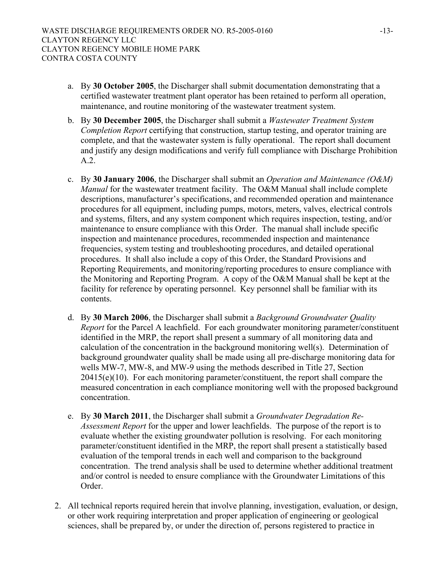- a. By **30 October 2005**, the Discharger shall submit documentation demonstrating that a certified wastewater treatment plant operator has been retained to perform all operation, maintenance, and routine monitoring of the wastewater treatment system.
- b. By **30 December 2005**, the Discharger shall submit a *Wastewater Treatment System Completion Report* certifying that construction, startup testing, and operator training are complete, and that the wastewater system is fully operational. The report shall document and justify any design modifications and verify full compliance with Discharge Prohibition A.2.
- c. By **30 January 2006**, the Discharger shall submit an *Operation and Maintenance (O&M) Manual* for the wastewater treatment facility. The O&M Manual shall include complete descriptions, manufacturer's specifications, and recommended operation and maintenance procedures for all equipment, including pumps, motors, meters, valves, electrical controls and systems, filters, and any system component which requires inspection, testing, and/or maintenance to ensure compliance with this Order. The manual shall include specific inspection and maintenance procedures, recommended inspection and maintenance frequencies, system testing and troubleshooting procedures, and detailed operational procedures. It shall also include a copy of this Order, the Standard Provisions and Reporting Requirements, and monitoring/reporting procedures to ensure compliance with the Monitoring and Reporting Program. A copy of the O&M Manual shall be kept at the facility for reference by operating personnel. Key personnel shall be familiar with its contents.
- d. By **30 March 2006**, the Discharger shall submit a *Background Groundwater Quality Report* for the Parcel A leachfield. For each groundwater monitoring parameter/constituent identified in the MRP, the report shall present a summary of all monitoring data and calculation of the concentration in the background monitoring well(s). Determination of background groundwater quality shall be made using all pre-discharge monitoring data for wells MW-7, MW-8, and MW-9 using the methods described in Title 27, Section 20415(e)(10). For each monitoring parameter/constituent, the report shall compare the measured concentration in each compliance monitoring well with the proposed background concentration.
- e. By **30 March 2011**, the Discharger shall submit a *Groundwater Degradation Re-Assessment Report* for the upper and lower leachfields. The purpose of the report is to evaluate whether the existing groundwater pollution is resolving. For each monitoring parameter/constituent identified in the MRP, the report shall present a statistically based evaluation of the temporal trends in each well and comparison to the background concentration. The trend analysis shall be used to determine whether additional treatment and/or control is needed to ensure compliance with the Groundwater Limitations of this Order.
- 2. All technical reports required herein that involve planning, investigation, evaluation, or design, or other work requiring interpretation and proper application of engineering or geological sciences, shall be prepared by, or under the direction of, persons registered to practice in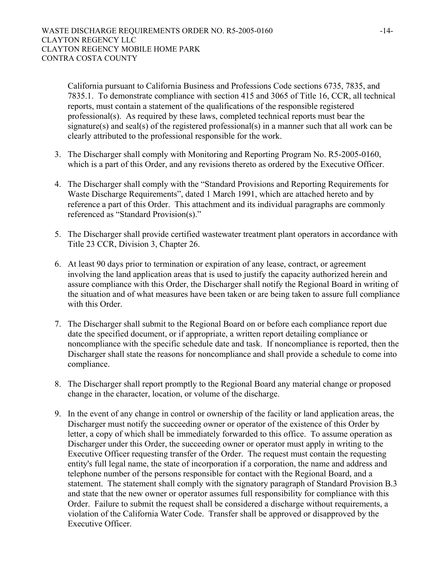California pursuant to California Business and Professions Code sections 6735, 7835, and 7835.1. To demonstrate compliance with section 415 and 3065 of Title 16, CCR, all technical reports, must contain a statement of the qualifications of the responsible registered professional(s). As required by these laws, completed technical reports must bear the signature(s) and seal(s) of the registered professional(s) in a manner such that all work can be clearly attributed to the professional responsible for the work.

- 3. The Discharger shall comply with Monitoring and Reporting Program No. R5-2005-0160, which is a part of this Order, and any revisions thereto as ordered by the Executive Officer.
- 4. The Discharger shall comply with the "Standard Provisions and Reporting Requirements for Waste Discharge Requirements", dated 1 March 1991, which are attached hereto and by reference a part of this Order. This attachment and its individual paragraphs are commonly referenced as "Standard Provision(s)."
- 5. The Discharger shall provide certified wastewater treatment plant operators in accordance with Title 23 CCR, Division 3, Chapter 26.
- 6. At least 90 days prior to termination or expiration of any lease, contract, or agreement involving the land application areas that is used to justify the capacity authorized herein and assure compliance with this Order, the Discharger shall notify the Regional Board in writing of the situation and of what measures have been taken or are being taken to assure full compliance with this Order
- 7. The Discharger shall submit to the Regional Board on or before each compliance report due date the specified document, or if appropriate, a written report detailing compliance or noncompliance with the specific schedule date and task. If noncompliance is reported, then the Discharger shall state the reasons for noncompliance and shall provide a schedule to come into compliance.
- 8. The Discharger shall report promptly to the Regional Board any material change or proposed change in the character, location, or volume of the discharge.
- 9. In the event of any change in control or ownership of the facility or land application areas, the Discharger must notify the succeeding owner or operator of the existence of this Order by letter, a copy of which shall be immediately forwarded to this office. To assume operation as Discharger under this Order, the succeeding owner or operator must apply in writing to the Executive Officer requesting transfer of the Order. The request must contain the requesting entity's full legal name, the state of incorporation if a corporation, the name and address and telephone number of the persons responsible for contact with the Regional Board, and a statement. The statement shall comply with the signatory paragraph of Standard Provision B.3 and state that the new owner or operator assumes full responsibility for compliance with this Order. Failure to submit the request shall be considered a discharge without requirements, a violation of the California Water Code. Transfer shall be approved or disapproved by the Executive Officer.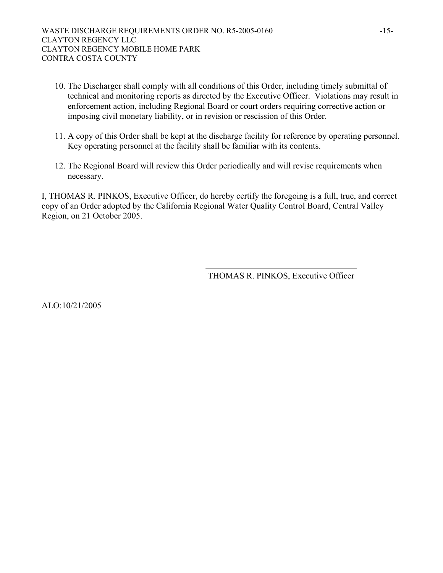- 10. The Discharger shall comply with all conditions of this Order, including timely submittal of technical and monitoring reports as directed by the Executive Officer. Violations may result in enforcement action, including Regional Board or court orders requiring corrective action or imposing civil monetary liability, or in revision or rescission of this Order.
- 11. A copy of this Order shall be kept at the discharge facility for reference by operating personnel. Key operating personnel at the facility shall be familiar with its contents.
- 12. The Regional Board will review this Order periodically and will revise requirements when necessary.

I, THOMAS R. PINKOS, Executive Officer, do hereby certify the foregoing is a full, true, and correct copy of an Order adopted by the California Regional Water Quality Control Board, Central Valley Region, on 21 October 2005.

THOMAS R. PINKOS, Executive Officer

ALO:10/21/2005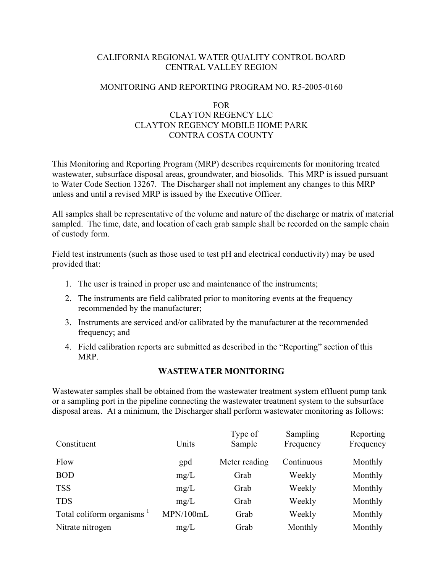# CALIFORNIA REGIONAL WATER QUALITY CONTROL BOARD CENTRAL VALLEY REGION

#### MONITORING AND REPORTING PROGRAM NO. R5-2005-0160

# FOR CLAYTON REGENCY LLC CLAYTON REGENCY MOBILE HOME PARK CONTRA COSTA COUNTY

This Monitoring and Reporting Program (MRP) describes requirements for monitoring treated wastewater, subsurface disposal areas, groundwater, and biosolids. This MRP is issued pursuant to Water Code Section 13267. The Discharger shall not implement any changes to this MRP unless and until a revised MRP is issued by the Executive Officer.

All samples shall be representative of the volume and nature of the discharge or matrix of material sampled. The time, date, and location of each grab sample shall be recorded on the sample chain of custody form.

Field test instruments (such as those used to test pH and electrical conductivity) may be used provided that:

- 1. The user is trained in proper use and maintenance of the instruments;
- 2. The instruments are field calibrated prior to monitoring events at the frequency recommended by the manufacturer;
- 3. Instruments are serviced and/or calibrated by the manufacturer at the recommended frequency; and
- 4. Field calibration reports are submitted as described in the "Reporting" section of this MRP.

### **WASTEWATER MONITORING**

Wastewater samples shall be obtained from the wastewater treatment system effluent pump tank or a sampling port in the pipeline connecting the wastewater treatment system to the subsurface disposal areas. At a minimum, the Discharger shall perform wastewater monitoring as follows:

| Constituent                           | Units     | Type of<br>Sample | Sampling<br>Frequency | Reporting<br>Frequency |
|---------------------------------------|-----------|-------------------|-----------------------|------------------------|
| Flow                                  | gpd       | Meter reading     | Continuous            | Monthly                |
| <b>BOD</b>                            | mg/L      | Grab              | Weekly                | Monthly                |
| <b>TSS</b>                            | mg/L      | Grab              | Weekly                | Monthly                |
| <b>TDS</b>                            | mg/L      | Grab              | Weekly                | Monthly                |
| Total coliform organisms <sup>1</sup> | MPN/100mL | Grab              | Weekly                | Monthly                |
| Nitrate nitrogen                      | mg/L      | Grab              | Monthly               | Monthly                |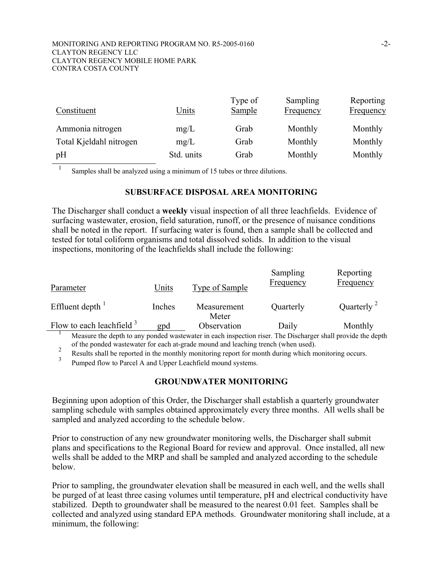| Constituent             | <u>Units</u> | Type of<br><b>Sample</b> | Sampling<br><b>Frequency</b> | Reporting<br><b>Frequency</b> |
|-------------------------|--------------|--------------------------|------------------------------|-------------------------------|
| Ammonia nitrogen        | mg/L         | Grab                     | Monthly                      | Monthly                       |
| Total Kjeldahl nitrogen | mg/L         | Grab                     | Monthly                      | Monthly                       |
| pH                      | Std. units   | Grab                     | Monthly                      | Monthly                       |

Samples shall be analyzed using a minimum of 15 tubes or three dilutions.

#### **SUBSURFACE DISPOSAL AREA MONITORING**

The Discharger shall conduct a **weekly** visual inspection of all three leachfields. Evidence of surfacing wastewater, erosion, field saturation, runoff, or the presence of nuisance conditions shall be noted in the report. If surfacing water is found, then a sample shall be collected and tested for total coliform organisms and total dissolved solids. In addition to the visual inspections, monitoring of the leachfields shall include the following:

| Parameter                    | Units  | Type of Sample       | Sampling<br><b>Frequency</b> | Reporting<br><b>Frequency</b> |
|------------------------------|--------|----------------------|------------------------------|-------------------------------|
| Effluent depth $\frac{1}{1}$ | Inches | Measurement<br>Meter | Quarterly                    | Quarterly $2$                 |
| Flow to each leachfield $3$  | gpd    | Observation          | Daily                        | Monthly                       |

1 Measure the depth to any ponded wastewater in each inspection riser. The Discharger shall provide the depth

of the ponded wastewater for each at-grade mound and leaching trench (when used).<br><sup>2</sup> Results shall be reported in the monthly monitoring report for month during which monitoring occurs.

3 Pumped flow to Parcel A and Upper Leachfield mound systems.

### **GROUNDWATER MONITORING**

Beginning upon adoption of this Order, the Discharger shall establish a quarterly groundwater sampling schedule with samples obtained approximately every three months. All wells shall be sampled and analyzed according to the schedule below.

Prior to construction of any new groundwater monitoring wells, the Discharger shall submit plans and specifications to the Regional Board for review and approval. Once installed, all new wells shall be added to the MRP and shall be sampled and analyzed according to the schedule below.

Prior to sampling, the groundwater elevation shall be measured in each well, and the wells shall be purged of at least three casing volumes until temperature, pH and electrical conductivity have stabilized. Depth to groundwater shall be measured to the nearest 0.01 feet. Samples shall be collected and analyzed using standard EPA methods. Groundwater monitoring shall include, at a minimum, the following: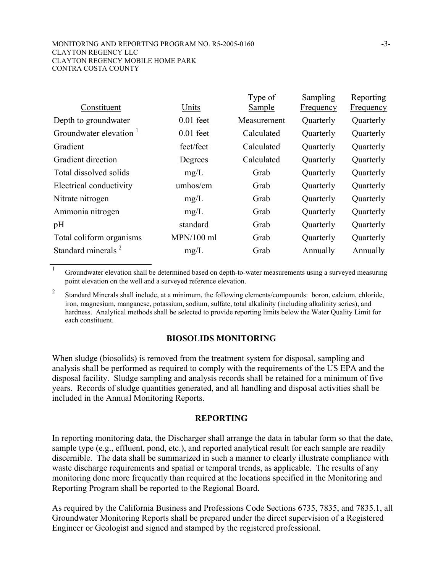#### MONITORING AND REPORTING PROGRAM NO. R5-2005-0160 -3- CLAYTON REGENCY LLC CLAYTON REGENCY MOBILE HOME PARK CONTRA COSTA COUNTY

| Constituent                        | Units        | Type of<br>Sample | Sampling<br>Frequency | Reporting        |
|------------------------------------|--------------|-------------------|-----------------------|------------------|
|                                    |              |                   |                       | <b>Frequency</b> |
| Depth to groundwater               | $0.01$ feet  | Measurement       | Quarterly             | Quarterly        |
| Groundwater elevation <sup>1</sup> | $0.01$ feet  | Calculated        | Quarterly             | Quarterly        |
| Gradient                           | feet/feet    | Calculated        | Quarterly             | Quarterly        |
| Gradient direction                 | Degrees      | Calculated        | Quarterly             | Quarterly        |
| Total dissolved solids             | mg/L         | Grab              | Quarterly             | Quarterly        |
| Electrical conductivity            | umhos/cm     | Grab              | Quarterly             | Quarterly        |
| Nitrate nitrogen                   | mg/L         | Grab              | Quarterly             | Quarterly        |
| Ammonia nitrogen                   | mg/L         | Grab              | Quarterly             | Quarterly        |
| pH                                 | standard     | Grab              | Quarterly             | Quarterly        |
| Total coliform organisms           | $MPN/100$ ml | Grab              | Quarterly             | Quarterly        |
| Standard minerals <sup>2</sup>     | mg/L         | Grab              | Annually              | Annually         |
|                                    |              |                   |                       |                  |

<sup>1</sup> Groundwater elevation shall be determined based on depth-to-water measurements using a surveyed measuring point elevation on the well and a surveyed reference elevation.

<sup>2</sup> Standard Minerals shall include, at a minimum, the following elements/compounds: boron, calcium, chloride, iron, magnesium, manganese, potassium, sodium, sulfate, total alkalinity (including alkalinity series), and hardness. Analytical methods shall be selected to provide reporting limits below the Water Quality Limit for each constituent.

### **BIOSOLIDS MONITORING**

When sludge (biosolids) is removed from the treatment system for disposal, sampling and analysis shall be performed as required to comply with the requirements of the US EPA and the disposal facility. Sludge sampling and analysis records shall be retained for a minimum of five years. Records of sludge quantities generated, and all handling and disposal activities shall be included in the Annual Monitoring Reports.

#### **REPORTING**

In reporting monitoring data, the Discharger shall arrange the data in tabular form so that the date, sample type (e.g., effluent, pond, etc.), and reported analytical result for each sample are readily discernible. The data shall be summarized in such a manner to clearly illustrate compliance with waste discharge requirements and spatial or temporal trends, as applicable. The results of any monitoring done more frequently than required at the locations specified in the Monitoring and Reporting Program shall be reported to the Regional Board.

As required by the California Business and Professions Code Sections 6735, 7835, and 7835.1, all Groundwater Monitoring Reports shall be prepared under the direct supervision of a Registered Engineer or Geologist and signed and stamped by the registered professional.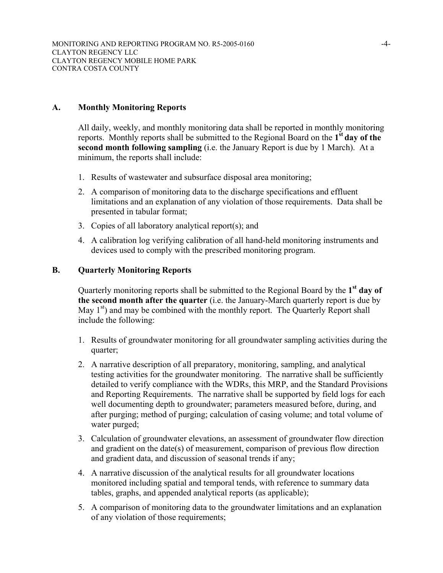### **A. Monthly Monitoring Reports**

All daily, weekly, and monthly monitoring data shall be reported in monthly monitoring reports. Monthly reports shall be submitted to the Regional Board on the **1st day of the second month following sampling** (i.e. the January Report is due by 1 March). At a minimum, the reports shall include:

- 1. Results of wastewater and subsurface disposal area monitoring;
- 2. A comparison of monitoring data to the discharge specifications and effluent limitations and an explanation of any violation of those requirements. Data shall be presented in tabular format;
- 3. Copies of all laboratory analytical report(s); and
- 4. A calibration log verifying calibration of all hand-held monitoring instruments and devices used to comply with the prescribed monitoring program.

#### **B. Quarterly Monitoring Reports**

Quarterly monitoring reports shall be submitted to the Regional Board by the **1st day of the second month after the quarter** (i.e. the January-March quarterly report is due by May  $1<sup>st</sup>$ ) and may be combined with the monthly report. The Quarterly Report shall include the following:

- 1. Results of groundwater monitoring for all groundwater sampling activities during the quarter;
- 2. A narrative description of all preparatory, monitoring, sampling, and analytical testing activities for the groundwater monitoring. The narrative shall be sufficiently detailed to verify compliance with the WDRs, this MRP, and the Standard Provisions and Reporting Requirements. The narrative shall be supported by field logs for each well documenting depth to groundwater; parameters measured before, during, and after purging; method of purging; calculation of casing volume; and total volume of water purged;
- 3. Calculation of groundwater elevations, an assessment of groundwater flow direction and gradient on the date(s) of measurement, comparison of previous flow direction and gradient data, and discussion of seasonal trends if any;
- 4. A narrative discussion of the analytical results for all groundwater locations monitored including spatial and temporal tends, with reference to summary data tables, graphs, and appended analytical reports (as applicable);
- 5. A comparison of monitoring data to the groundwater limitations and an explanation of any violation of those requirements;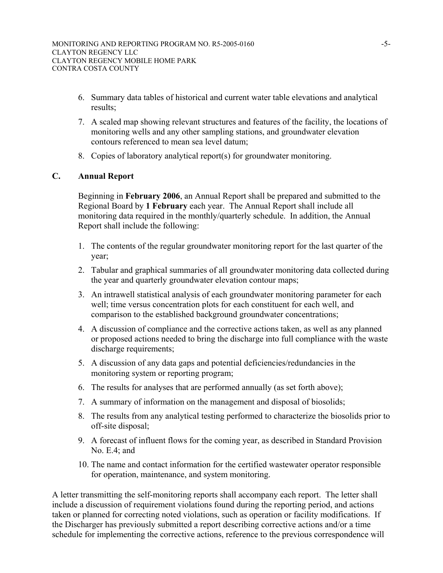- 6. Summary data tables of historical and current water table elevations and analytical results;
- 7. A scaled map showing relevant structures and features of the facility, the locations of monitoring wells and any other sampling stations, and groundwater elevation contours referenced to mean sea level datum;
- 8. Copies of laboratory analytical report(s) for groundwater monitoring.

# **C. Annual Report**

Beginning in **February 2006**, an Annual Report shall be prepared and submitted to the Regional Board by **1 February** each year. The Annual Report shall include all monitoring data required in the monthly/quarterly schedule. In addition, the Annual Report shall include the following:

- 1. The contents of the regular groundwater monitoring report for the last quarter of the year;
- 2. Tabular and graphical summaries of all groundwater monitoring data collected during the year and quarterly groundwater elevation contour maps;
- 3. An intrawell statistical analysis of each groundwater monitoring parameter for each well; time versus concentration plots for each constituent for each well, and comparison to the established background groundwater concentrations;
- 4. A discussion of compliance and the corrective actions taken, as well as any planned or proposed actions needed to bring the discharge into full compliance with the waste discharge requirements;
- 5. A discussion of any data gaps and potential deficiencies/redundancies in the monitoring system or reporting program;
- 6. The results for analyses that are performed annually (as set forth above);
- 7. A summary of information on the management and disposal of biosolids;
- 8. The results from any analytical testing performed to characterize the biosolids prior to off-site disposal;
- 9. A forecast of influent flows for the coming year, as described in Standard Provision No. E.4; and
- 10. The name and contact information for the certified wastewater operator responsible for operation, maintenance, and system monitoring.

A letter transmitting the self-monitoring reports shall accompany each report. The letter shall include a discussion of requirement violations found during the reporting period, and actions taken or planned for correcting noted violations, such as operation or facility modifications. If the Discharger has previously submitted a report describing corrective actions and/or a time schedule for implementing the corrective actions, reference to the previous correspondence will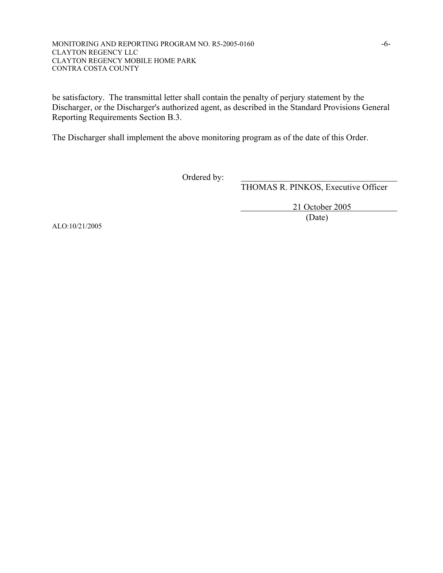#### MONITORING AND REPORTING PROGRAM NO. R5-2005-0160 -6- CLAYTON REGENCY LLC CLAYTON REGENCY MOBILE HOME PARK CONTRA COSTA COUNTY

be satisfactory. The transmittal letter shall contain the penalty of perjury statement by the Discharger, or the Discharger's authorized agent, as described in the Standard Provisions General Reporting Requirements Section B.3.

The Discharger shall implement the above monitoring program as of the date of this Order.

Ordered by:

THOMAS R. PINKOS, Executive Officer

 21 October 2005 (Date)

ALO:10/21/2005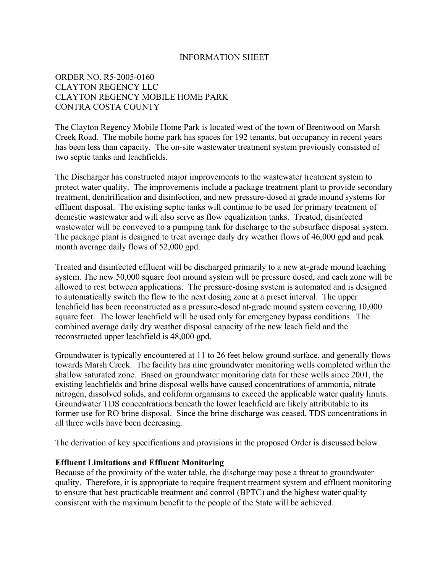#### INFORMATION SHEET

# ORDER NO. R5-2005-0160 CLAYTON REGENCY LLC CLAYTON REGENCY MOBILE HOME PARK CONTRA COSTA COUNTY

The Clayton Regency Mobile Home Park is located west of the town of Brentwood on Marsh Creek Road. The mobile home park has spaces for 192 tenants, but occupancy in recent years has been less than capacity. The on-site wastewater treatment system previously consisted of two septic tanks and leachfields.

The Discharger has constructed major improvements to the wastewater treatment system to protect water quality. The improvements include a package treatment plant to provide secondary treatment, denitrification and disinfection, and new pressure-dosed at grade mound systems for effluent disposal. The existing septic tanks will continue to be used for primary treatment of domestic wastewater and will also serve as flow equalization tanks. Treated, disinfected wastewater will be conveyed to a pumping tank for discharge to the subsurface disposal system. The package plant is designed to treat average daily dry weather flows of 46,000 gpd and peak month average daily flows of 52,000 gpd.

Treated and disinfected effluent will be discharged primarily to a new at-grade mound leaching system. The new 50,000 square foot mound system will be pressure dosed, and each zone will be allowed to rest between applications. The pressure-dosing system is automated and is designed to automatically switch the flow to the next dosing zone at a preset interval. The upper leachfield has been reconstructed as a pressure-dosed at-grade mound system covering 10,000 square feet. The lower leachfield will be used only for emergency bypass conditions. The combined average daily dry weather disposal capacity of the new leach field and the reconstructed upper leachfield is 48,000 gpd.

Groundwater is typically encountered at 11 to 26 feet below ground surface, and generally flows towards Marsh Creek. The facility has nine groundwater monitoring wells completed within the shallow saturated zone. Based on groundwater monitoring data for these wells since 2001, the existing leachfields and brine disposal wells have caused concentrations of ammonia, nitrate nitrogen, dissolved solids, and coliform organisms to exceed the applicable water quality limits. Groundwater TDS concentrations beneath the lower leachfield are likely attributable to its former use for RO brine disposal. Since the brine discharge was ceased, TDS concentrations in all three wells have been decreasing.

The derivation of key specifications and provisions in the proposed Order is discussed below.

#### **Effluent Limitations and Effluent Monitoring**

Because of the proximity of the water table, the discharge may pose a threat to groundwater quality. Therefore, it is appropriate to require frequent treatment system and effluent monitoring to ensure that best practicable treatment and control (BPTC) and the highest water quality consistent with the maximum benefit to the people of the State will be achieved.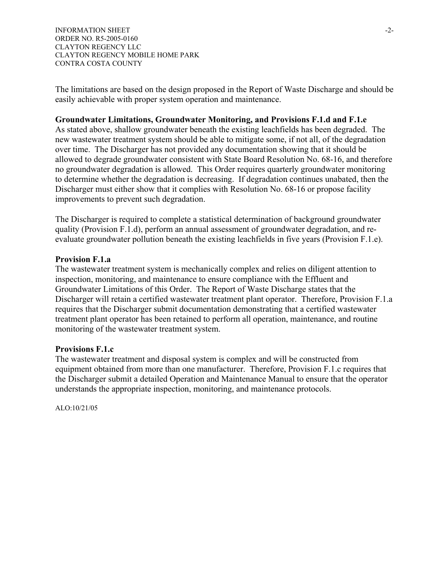INFORMATION SHEET  $\sim$ ORDER NO. R5-2005-0160 CLAYTON REGENCY LLC CLAYTON REGENCY MOBILE HOME PARK CONTRA COSTA COUNTY

The limitations are based on the design proposed in the Report of Waste Discharge and should be easily achievable with proper system operation and maintenance.

### **Groundwater Limitations, Groundwater Monitoring, and Provisions F.1.d and F.1.e**

As stated above, shallow groundwater beneath the existing leachfields has been degraded. The new wastewater treatment system should be able to mitigate some, if not all, of the degradation over time. The Discharger has not provided any documentation showing that it should be allowed to degrade groundwater consistent with State Board Resolution No. 68-16, and therefore no groundwater degradation is allowed. This Order requires quarterly groundwater monitoring to determine whether the degradation is decreasing. If degradation continues unabated, then the Discharger must either show that it complies with Resolution No. 68-16 or propose facility improvements to prevent such degradation.

The Discharger is required to complete a statistical determination of background groundwater quality (Provision F.1.d), perform an annual assessment of groundwater degradation, and reevaluate groundwater pollution beneath the existing leachfields in five years (Provision F.1.e).

#### **Provision F.1.a**

The wastewater treatment system is mechanically complex and relies on diligent attention to inspection, monitoring, and maintenance to ensure compliance with the Effluent and Groundwater Limitations of this Order. The Report of Waste Discharge states that the Discharger will retain a certified wastewater treatment plant operator. Therefore, Provision F.1.a requires that the Discharger submit documentation demonstrating that a certified wastewater treatment plant operator has been retained to perform all operation, maintenance, and routine monitoring of the wastewater treatment system.

#### **Provisions F.1.c**

The wastewater treatment and disposal system is complex and will be constructed from equipment obtained from more than one manufacturer. Therefore, Provision F.1.c requires that the Discharger submit a detailed Operation and Maintenance Manual to ensure that the operator understands the appropriate inspection, monitoring, and maintenance protocols.

ALO:10/21/05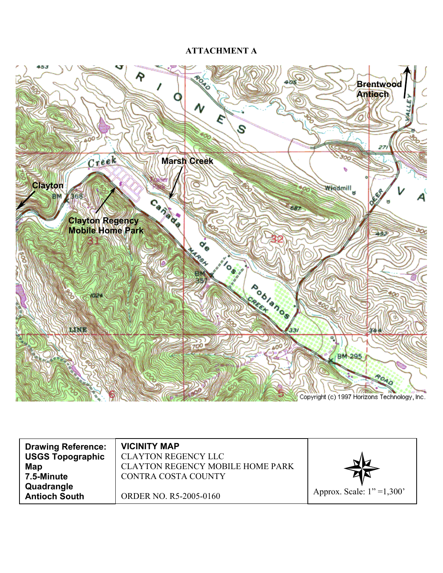# **ATTACHMENT A**



| <b>Drawing Reference:</b><br><b>USGS Topographic</b><br>Map | <b>VICINITY MAP</b><br><b>CLAYTON REGENCY LLC</b><br><b>CLAYTON REGENCY MOBILE HOME PARK</b> |                              |
|-------------------------------------------------------------|----------------------------------------------------------------------------------------------|------------------------------|
| 7.5-Minute<br>Quadrangle                                    | CONTRA COSTA COUNTY                                                                          |                              |
| <b>Antioch South</b>                                        | ORDER NO. R5-2005-0160                                                                       | Approx. Scale: $1" = 1,300'$ |